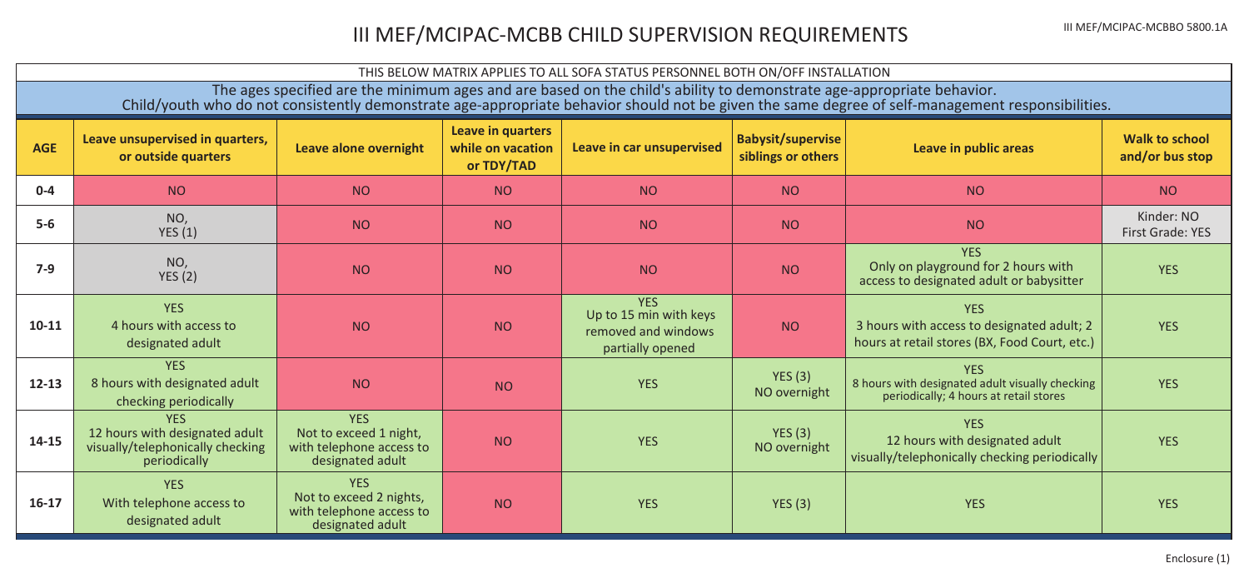## III MEF/MCIPAC-MCBB CHILD SUPERVISION REQUIREMENTS **III MEF/MCIPAC-MCBBO 5800.1A**

| THIS BELOW MATRIX APPLIES TO ALL SOFA STATUS PERSONNEL BOTH ON/OFF INSTALLATION                                                                                                                                                                                            |                                                                                                  |                                                                                       |                                                      |                                                                                 |                                                |                                                                                                           |                                   |  |
|----------------------------------------------------------------------------------------------------------------------------------------------------------------------------------------------------------------------------------------------------------------------------|--------------------------------------------------------------------------------------------------|---------------------------------------------------------------------------------------|------------------------------------------------------|---------------------------------------------------------------------------------|------------------------------------------------|-----------------------------------------------------------------------------------------------------------|-----------------------------------|--|
| The ages specified are the minimum ages and are based on the child's ability to demonstrate age-appropriate behavior.<br>Child/youth who do not consistently demonstrate age-appropriate behavior should not be given the same degree of self-management responsibilities. |                                                                                                  |                                                                                       |                                                      |                                                                                 |                                                |                                                                                                           |                                   |  |
| <b>AGE</b>                                                                                                                                                                                                                                                                 | Leave unsupervised in quarters,<br>or outside quarters                                           | Leave alone overnight                                                                 | Leave in quarters<br>while on vacation<br>or TDY/TAD | Leave in car unsupervised                                                       | <b>Babysit/supervise</b><br>siblings or others | Leave in public areas                                                                                     | Walk to school<br>and/or bus stop |  |
| $0 - 4$                                                                                                                                                                                                                                                                    | <b>NO</b>                                                                                        | <b>NO</b>                                                                             | <b>NO</b>                                            | NO.                                                                             | <b>NO</b>                                      | <b>NO</b>                                                                                                 | <b>NO</b>                         |  |
| $5-6$                                                                                                                                                                                                                                                                      | NO,<br>YES(1)                                                                                    | <b>NO</b>                                                                             | <b>NO</b>                                            | <b>NO</b>                                                                       | <b>NO</b>                                      | <b>NO</b>                                                                                                 | Kinder: NO<br>First Grade: YES    |  |
| $7-9$                                                                                                                                                                                                                                                                      | NO.<br>YES(2)                                                                                    | <b>NO</b>                                                                             | <b>NO</b>                                            | <b>NO</b>                                                                       | <b>NO</b>                                      | <b>YES</b><br>Only on playground for 2 hours with<br>access to designated adult or babysitter             | <b>YES</b>                        |  |
| $10 - 11$                                                                                                                                                                                                                                                                  | <b>YES</b><br>4 hours with access to<br>designated adult                                         | <b>NO</b>                                                                             | <b>NO</b>                                            | <b>YES</b><br>Up to 15 min with keys<br>removed and windows<br>partially opened | <b>NO</b>                                      | <b>YES</b><br>3 hours with access to designated adult; 2<br>hours at retail stores (BX, Food Court, etc.) | <b>YES</b>                        |  |
| $12 - 13$                                                                                                                                                                                                                                                                  | <b>YES</b><br>8 hours with designated adult<br>checking periodically                             | <b>NO</b>                                                                             | <b>NO</b>                                            | <b>YES</b>                                                                      | <b>YES</b> (3)<br>NO overnight                 | <b>YES</b><br>8 hours with designated adult visually checking<br>periodically; 4 hours at retail stores   | <b>YES</b>                        |  |
| 14-15                                                                                                                                                                                                                                                                      | <b>YES</b><br>12 hours with designated adult<br>visually/telephonically checking<br>periodically | <b>YES</b><br>Not to exceed 1 night,<br>with telephone access to<br>designated adult  | <b>NO</b>                                            | <b>YES</b>                                                                      | YES(3)<br>NO overnight                         | <b>YES</b><br>12 hours with designated adult<br>visually/telephonically checking periodically             | <b>YES</b>                        |  |
| $16-17$                                                                                                                                                                                                                                                                    | <b>YES</b><br>With telephone access to<br>designated adult                                       | <b>YES</b><br>Not to exceed 2 nights,<br>with telephone access to<br>designated adult | <b>NO</b>                                            | <b>YES</b>                                                                      | <b>YES</b> (3)                                 | <b>YES</b>                                                                                                | <b>YES</b>                        |  |